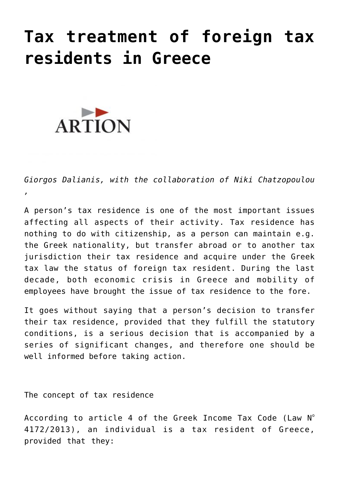## **[Tax treatment of foreign tax](https://artion.gr/en/tax-treatment-of-foreign-tax-residents-in-greece-retroactive-transfer-of-tax-residence/) [residents in Greece](https://artion.gr/en/tax-treatment-of-foreign-tax-residents-in-greece-retroactive-transfer-of-tax-residence/)**



*Giorgos Dalianis, with the collaboration of Niki Chatzopoulou ,*

A person's tax residence is one of the most important issues affecting all aspects of their activity. Tax residence has nothing to do with citizenship, as a person can maintain e.g. the Greek nationality, but transfer abroad or to another tax jurisdiction their tax residence and acquire under the Greek tax law the status of foreign tax resident. During the last decade, both economic crisis in Greece and mobility of employees have brought the issue of tax residence to the fore.

It goes without saying that a person's decision to transfer their tax residence, provided that they fulfill the statutory conditions, is a serious decision that is accompanied by a series of significant changes, and therefore one should be well informed before taking action.

The concept of tax residence

According to article 4 of the Greek Income Tax Code (Law  $N^{\circ}$ 4172/2013), an individual is a tax resident of Greece, provided that they: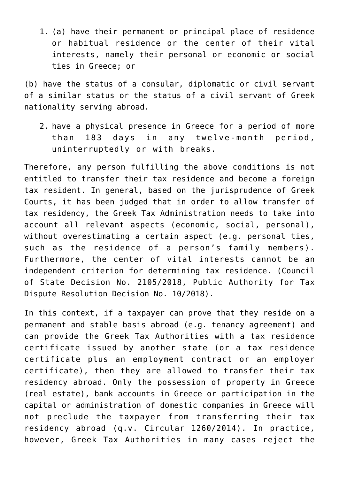1. (a) have their permanent or principal place of residence or habitual residence or the center of their vital interests, namely their personal or economic or social ties in Greece; or

(b) have the status of a consular, diplomatic or civil servant of a similar status or the status of a civil servant of Greek nationality serving abroad.

2. have a physical presence in Greece for a period of more than 183 days in any twelve-month period, uninterruptedly or with breaks.

Therefore, any person fulfilling the above conditions is not entitled to transfer their tax residence and become a foreign tax resident. In general, based on the jurisprudence of Greek Courts, it has been judged that in order to allow transfer of tax residency, the Greek Tax Administration needs to take into account all relevant aspects (economic, social, personal), without overestimating a certain aspect (e.g. personal ties, such as the residence of a person's family members). Furthermore, the center of vital interests cannot be an independent criterion for determining tax residence. (Council of State Decision No. 2105/2018, Public Authority for Tax Dispute Resolution Decision No. 10/2018).

In this context, if a taxpayer can prove that they reside on a permanent and stable basis abroad (e.g. tenancy agreement) and can provide the Greek Tax Authorities with a tax residence certificate issued by another state (or a tax residence certificate plus an employment contract or an employer certificate), then they are allowed to transfer their tax residency abroad. Only the possession of property in Greece (real estate), bank accounts in Greece or participation in the capital or administration of domestic companies in Greece will not preclude the taxpayer from transferring their tax residency abroad (q.v. Circular 1260/2014). In practice, however, Greek Tax Authorities in many cases reject the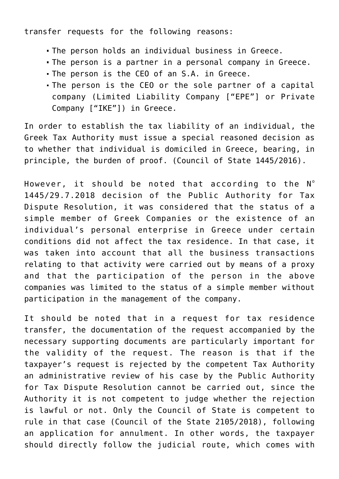transfer requests for the following reasons:

- The person holds an individual business in Greece.
- The person is a partner in a personal company in Greece.
- The person is the CEO of an S.A. in Greece.
- The person is the CEO or the sole partner of a capital company (Limited Liability Company ["EPE"] or Private Company ["IKE"]) in Greece.

In order to establish the tax liability of an individual, the Greek Tax Authority must issue a special reasoned decision as to whether that individual is domiciled in Greece, bearing, in principle, the burden of proof. (Council of State 1445/2016).

However, it should be noted that according to the  $N^{\circ}$ 1445/29.7.2018 decision of the Public Authority for Tax Dispute Resolution, it was considered that the status of a simple member of Greek Companies or the existence of an individual's personal enterprise in Greece under certain conditions did not affect the tax residence. In that case, it was taken into account that all the business transactions relating to that activity were carried out by means of a proxy and that the participation of the person in the above companies was limited to the status of a simple member without participation in the management of the company.

It should be noted that in a request for tax residence transfer, the documentation of the request accompanied by the necessary supporting documents are particularly important for the validity of the request. The reason is that if the taxpayer's request is rejected by the competent Tax Authority an administrative review of his case by the Public Authority for Tax Dispute Resolution cannot be carried out, since the Authority it is not competent to judge whether the rejection is lawful or not. Only the Council of State is competent to rule in that case (Council of the State 2105/2018), following an application for annulment. In other words, the taxpayer should directly follow the judicial route, which comes with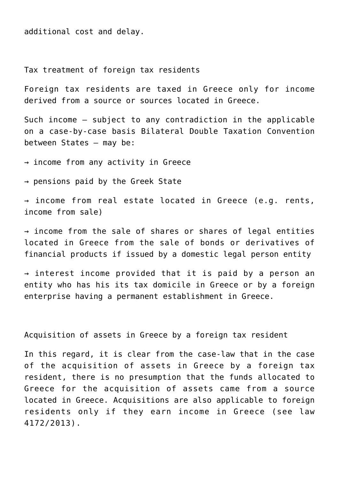additional cost and delay.

Tax treatment of foreign tax residents

Foreign tax residents are taxed in Greece only for income derived from a source or sources located in Greece.

Such income – subject to any contradiction in the applicable on a case-by-case basis Bilateral Double Taxation Convention between States – may be:

 $\rightarrow$  income from any activity in Greece

→ pensions paid by the Greek State

→ income from real estate located in Greece (e.g. rents, income from sale)

 $\rightarrow$  income from the sale of shares or shares of legal entities located in Greece from the sale of bonds or derivatives of financial products if issued by a domestic legal person entity

→ interest income provided that it is paid by a person an entity who has his its tax domicile in Greece or by a foreign enterprise having a permanent establishment in Greece.

Acquisition of assets in Greece by a foreign tax resident

In this regard, it is clear from the case-law that in the case of the acquisition of assets in Greece by a foreign tax resident, there is no presumption that the funds allocated to Greece for the acquisition of assets came from a source located in Greece. Acquisitions are also applicable to foreign residents only if they earn income in Greece (see law 4172/2013).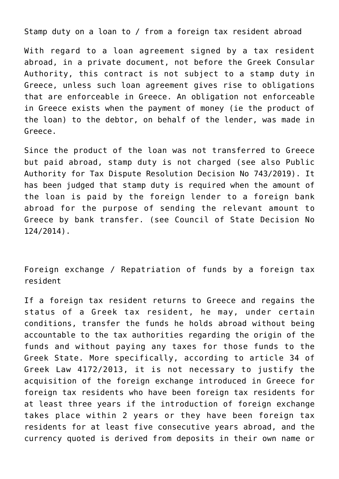Stamp duty on a loan to / from a foreign tax resident abroad

With regard to a loan agreement signed by a tax resident abroad, in a private document, not before the Greek Consular Authority, this contract is not subject to a stamp duty in Greece, unless such loan agreement gives rise to obligations that are enforceable in Greece. An obligation not enforceable in Greece exists when the payment of money (ie the product of the loan) to the debtor, on behalf of the lender, was made in Greece.

Since the product of the loan was not transferred to Greece but paid abroad, stamp duty is not charged (see also Public Authority for Tax Dispute Resolution Decision No 743/2019). It has been judged that stamp duty is required when the amount of the loan is paid by the foreign lender to a foreign bank abroad for the purpose of sending the relevant amount to Greece by bank transfer. (see Council of State Decision No 124/2014).

Foreign exchange / Repatriation of funds by a foreign tax resident

If a foreign tax resident returns to Greece and regains the status of a Greek tax resident, he may, under certain conditions, transfer the funds he holds abroad without being accountable to the tax authorities regarding the origin of the funds and without paying any taxes for those funds to the Greek State. More specifically, according to article 34 of Greek Law 4172/2013, it is not necessary to justify the acquisition of the foreign exchange introduced in Greece for foreign tax residents who have been foreign tax residents for at least three years if the introduction of foreign exchange takes place within 2 years or they have been foreign tax residents for at least five consecutive years abroad, and the currency quoted is derived from deposits in their own name or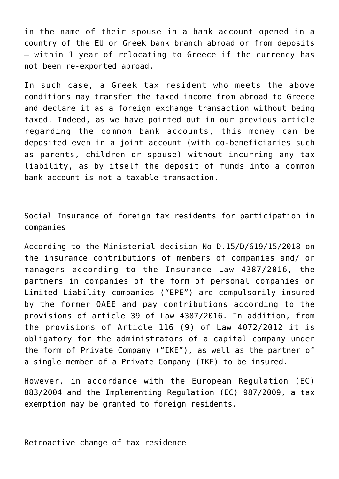in the name of their spouse in a bank account opened in a country of the EU or Greek bank branch abroad or from deposits – within 1 year of relocating to Greece if the currency has not been re-exported abroad.

In such case, a Greek tax resident who meets the above conditions may transfer the taxed income from abroad to Greece and declare it as a foreign exchange transaction without being taxed. Indeed, as we have pointed out in our previous article regarding the common bank accounts, this money can be deposited even in a joint account (with co-beneficiaries such as parents, children or spouse) without incurring any tax liability, as by itself the deposit of funds into a common bank account is not a taxable transaction.

Social Insurance of foreign tax residents for participation in companies

According to the Ministerial decision No D.15/D/619/15/2018 on the insurance contributions of members of companies and/ or managers according to the Insurance Law 4387/2016, the partners in companies of the form of personal companies or Limited Liability companies ("EPE") are compulsorily insured by the former OAEE and pay contributions according to the provisions of article 39 of Law 4387/2016. In addition, from the provisions of Article 116 (9) of Law 4072/2012 it is obligatory for the administrators of a capital company under the form of Private Company ("IKE"), as well as the partner of a single member of a Private Company (IKE) to be insured.

However, in accordance with the European Regulation (EC) 883/2004 and the Implementing Regulation (EC) 987/2009, a tax exemption may be granted to foreign residents.

Retroactive change of tax residence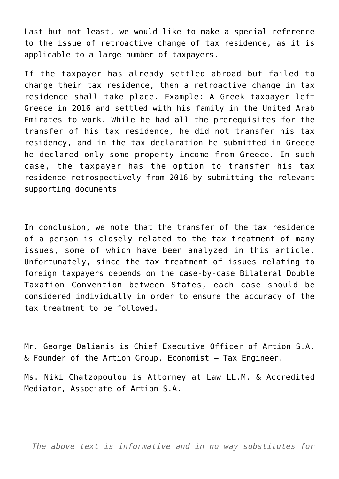Last but not least, we would like to make a special reference to the issue of retroactive change of tax residence, as it is applicable to a large number of taxpayers.

If the taxpayer has already settled abroad but failed to change their tax residence, then a retroactive change in tax residence shall take place. Example: A Greek taxpayer left Greece in 2016 and settled with his family in the United Arab Emirates to work. While he had all the prerequisites for the transfer of his tax residence, he did not transfer his tax residency, and in the tax declaration he submitted in Greece he declared only some property income from Greece. In such case, the taxpayer has the option to transfer his tax residence retrospectively from 2016 by submitting the relevant supporting documents.

In conclusion, we note that the transfer of the tax residence of a person is closely related to the tax treatment of many issues, some of which have been analyzed in this article. Unfortunately, since the tax treatment of issues relating to foreign taxpayers depends on the case-by-case Bilateral Double Taxation Convention between States, each case should be considered individually in order to ensure the accuracy of the tax treatment to be followed.

Mr. George Dalianis is Chief Executive Officer of Artion S.A.  $\&$  Founder of the Artion Group, Economist  $-$  Tax Engineer.

Ms. Niki Chatzopoulou is Attorney at Law LL.M. & Accredited Mediator, Associate of Artion S.A.

*The above text is informative and in no way substitutes for*